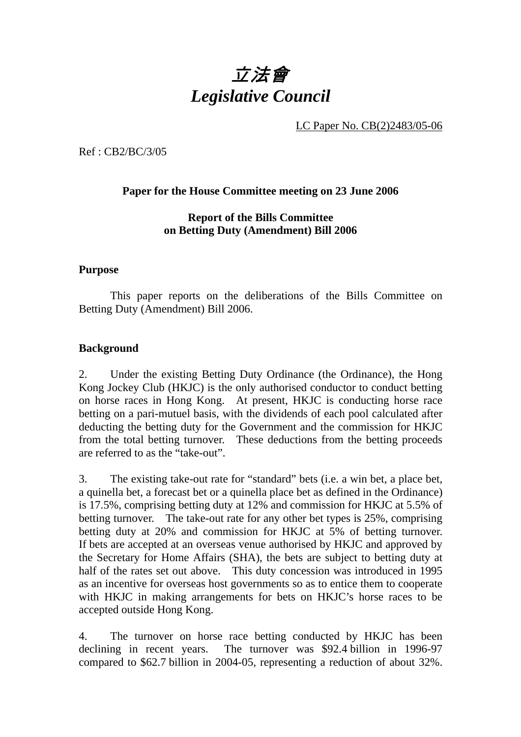# 立法會 *Legislative Council*

LC Paper No. CB(2)2483/05-06

Ref : CB2/BC/3/05

#### **Paper for the House Committee meeting on 23 June 2006**

**Report of the Bills Committee on Betting Duty (Amendment) Bill 2006**

#### **Purpose**

This paper reports on the deliberations of the Bills Committee on Betting Duty (Amendment) Bill 2006.

#### **Background**

2. Under the existing Betting Duty Ordinance (the Ordinance), the Hong Kong Jockey Club (HKJC) is the only authorised conductor to conduct betting on horse races in Hong Kong. At present, HKJC is conducting horse race betting on a pari-mutuel basis, with the dividends of each pool calculated after deducting the betting duty for the Government and the commission for HKJC from the total betting turnover. These deductions from the betting proceeds are referred to as the "take-out".

3. The existing take-out rate for "standard" bets (i.e. a win bet, a place bet, a quinella bet, a forecast bet or a quinella place bet as defined in the Ordinance) is 17.5%, comprising betting duty at 12% and commission for HKJC at 5.5% of betting turnover. The take-out rate for any other bet types is 25%, comprising betting duty at 20% and commission for HKJC at 5% of betting turnover. If bets are accepted at an overseas venue authorised by HKJC and approved by the Secretary for Home Affairs (SHA), the bets are subject to betting duty at half of the rates set out above. This duty concession was introduced in 1995 as an incentive for overseas host governments so as to entice them to cooperate with HKJC in making arrangements for bets on HKJC's horse races to be accepted outside Hong Kong.

4. The turnover on horse race betting conducted by HKJC has been declining in recent years. The turnover was \$92.4 billion in 1996-97 compared to \$62.7 billion in 2004-05, representing a reduction of about 32%.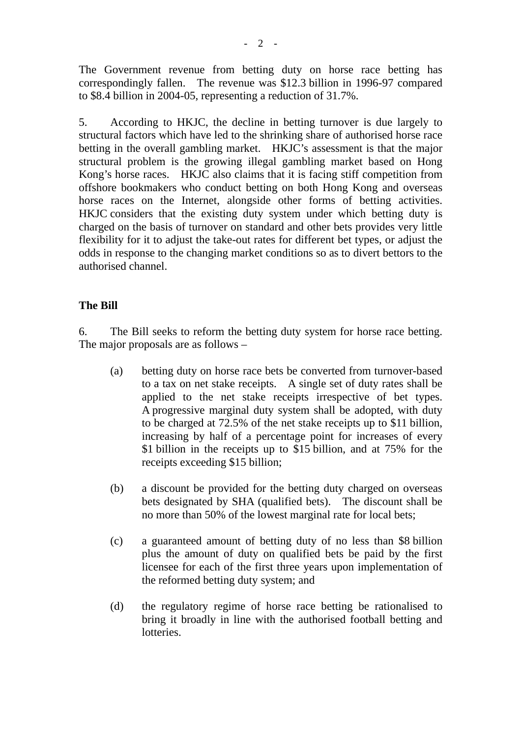The Government revenue from betting duty on horse race betting has correspondingly fallen. The revenue was \$12.3 billion in 1996-97 compared to \$8.4 billion in 2004-05, representing a reduction of 31.7%.

5. According to HKJC, the decline in betting turnover is due largely to structural factors which have led to the shrinking share of authorised horse race betting in the overall gambling market. HKJC's assessment is that the major structural problem is the growing illegal gambling market based on Hong Kong's horse races. HKJC also claims that it is facing stiff competition from offshore bookmakers who conduct betting on both Hong Kong and overseas horse races on the Internet, alongside other forms of betting activities. HKJC considers that the existing duty system under which betting duty is charged on the basis of turnover on standard and other bets provides very little flexibility for it to adjust the take-out rates for different bet types, or adjust the odds in response to the changing market conditions so as to divert bettors to the authorised channel.

### **The Bill**

6. The Bill seeks to reform the betting duty system for horse race betting. The major proposals are as follows –

- (a) betting duty on horse race bets be converted from turnover-based to a tax on net stake receipts. A single set of duty rates shall be applied to the net stake receipts irrespective of bet types. A progressive marginal duty system shall be adopted, with duty to be charged at 72.5% of the net stake receipts up to \$11 billion, increasing by half of a percentage point for increases of every \$1 billion in the receipts up to \$15 billion, and at 75% for the receipts exceeding \$15 billion;
- (b) a discount be provided for the betting duty charged on overseas bets designated by SHA (qualified bets). The discount shall be no more than 50% of the lowest marginal rate for local bets;
- (c) a guaranteed amount of betting duty of no less than \$8 billion plus the amount of duty on qualified bets be paid by the first licensee for each of the first three years upon implementation of the reformed betting duty system; and
- (d) the regulatory regime of horse race betting be rationalised to bring it broadly in line with the authorised football betting and **lotteries**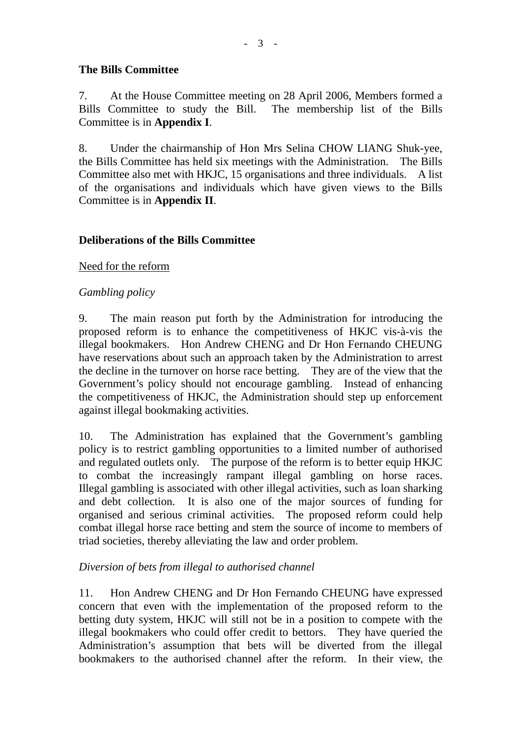## **The Bills Committee**

7. At the House Committee meeting on 28 April 2006, Members formed a Bills Committee to study the Bill. The membership list of the Bills Committee is in **Appendix I**.

8. Under the chairmanship of Hon Mrs Selina CHOW LIANG Shuk-yee, the Bills Committee has held six meetings with the Administration. The Bills Committee also met with HKJC, 15 organisations and three individuals. A list of the organisations and individuals which have given views to the Bills Committee is in **Appendix II**.

### **Deliberations of the Bills Committee**

### Need for the reform

### *Gambling policy*

9. The main reason put forth by the Administration for introducing the proposed reform is to enhance the competitiveness of HKJC vis-à-vis the illegal bookmakers. Hon Andrew CHENG and Dr Hon Fernando CHEUNG have reservations about such an approach taken by the Administration to arrest the decline in the turnover on horse race betting. They are of the view that the Government's policy should not encourage gambling. Instead of enhancing the competitiveness of HKJC, the Administration should step up enforcement against illegal bookmaking activities.

10. The Administration has explained that the Government's gambling policy is to restrict gambling opportunities to a limited number of authorised and regulated outlets only. The purpose of the reform is to better equip HKJC to combat the increasingly rampant illegal gambling on horse races. Illegal gambling is associated with other illegal activities, such as loan sharking and debt collection. It is also one of the major sources of funding for organised and serious criminal activities. The proposed reform could help combat illegal horse race betting and stem the source of income to members of triad societies, thereby alleviating the law and order problem.

### *Diversion of bets from illegal to authorised channel*

11. Hon Andrew CHENG and Dr Hon Fernando CHEUNG have expressed concern that even with the implementation of the proposed reform to the betting duty system, HKJC will still not be in a position to compete with the illegal bookmakers who could offer credit to bettors. They have queried the Administration's assumption that bets will be diverted from the illegal bookmakers to the authorised channel after the reform. In their view, the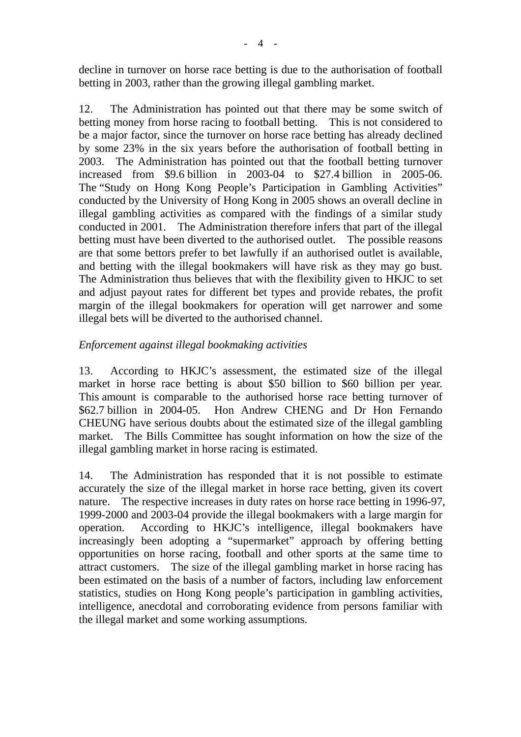decline in turnover on horse race betting is due to the authorisation of football betting in 2003, rather than the growing illegal gambling market.

12. The Administration has pointed out that there may be some switch of betting money from horse racing to football betting. This is not considered to be a major factor, since the turnover on horse race betting has already declined by some 23% in the six years before the authorisation of football betting in 2003. The Administration has pointed out that the football betting turnover increased from \$9.6 billion in 2003-04 to \$27.4 billion in 2005-06. The "Study on Hong Kong People's Participation in Gambling Activities" conducted by the University of Hong Kong in 2005 shows an overall decline in illegal gambling activities as compared with the findings of a similar study conducted in 2001. The Administration therefore infers that part of the illegal betting must have been diverted to the authorised outlet. The possible reasons are that some bettors prefer to bet lawfully if an authorised outlet is available, and betting with the illegal bookmakers will have risk as they may go bust. The Administration thus believes that with the flexibility given to HKJC to set and adjust payout rates for different bet types and provide rebates, the profit margin of the illegal bookmakers for operation will get narrower and some illegal bets will be diverted to the authorised channel.

### *Enforcement against illegal bookmaking activities*

13. According to HKJC's assessment, the estimated size of the illegal market in horse race betting is about \$50 billion to \$60 billion per year. This amount is comparable to the authorised horse race betting turnover of \$62.7 billion in 2004-05. Hon Andrew CHENG and Dr Hon Fernando CHEUNG have serious doubts about the estimated size of the illegal gambling market. The Bills Committee has sought information on how the size of the illegal gambling market in horse racing is estimated.

14. The Administration has responded that it is not possible to estimate accurately the size of the illegal market in horse race betting, given its covert nature. The respective increases in duty rates on horse race betting in 1996-97, 1999-2000 and 2003-04 provide the illegal bookmakers with a large margin for operation. According to HKJC's intelligence, illegal bookmakers have increasingly been adopting a "supermarket" approach by offering betting opportunities on horse racing, football and other sports at the same time to attract customers. The size of the illegal gambling market in horse racing has been estimated on the basis of a number of factors, including law enforcement statistics, studies on Hong Kong people's participation in gambling activities, intelligence, anecdotal and corroborating evidence from persons familiar with the illegal market and some working assumptions.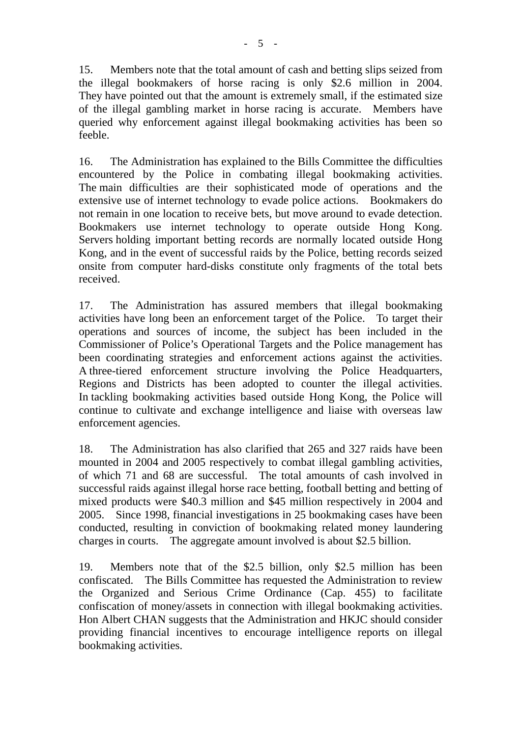15. Members note that the total amount of cash and betting slips seized from the illegal bookmakers of horse racing is only \$2.6 million in 2004. They have pointed out that the amount is extremely small, if the estimated size of the illegal gambling market in horse racing is accurate. Members have queried why enforcement against illegal bookmaking activities has been so feeble.

16. The Administration has explained to the Bills Committee the difficulties encountered by the Police in combating illegal bookmaking activities. The main difficulties are their sophisticated mode of operations and the extensive use of internet technology to evade police actions. Bookmakers do not remain in one location to receive bets, but move around to evade detection. Bookmakers use internet technology to operate outside Hong Kong. Servers holding important betting records are normally located outside Hong Kong, and in the event of successful raids by the Police, betting records seized onsite from computer hard-disks constitute only fragments of the total bets received.

17. The Administration has assured members that illegal bookmaking activities have long been an enforcement target of the Police. To target their operations and sources of income, the subject has been included in the Commissioner of Police's Operational Targets and the Police management has been coordinating strategies and enforcement actions against the activities. A three-tiered enforcement structure involving the Police Headquarters, Regions and Districts has been adopted to counter the illegal activities. In tackling bookmaking activities based outside Hong Kong, the Police will continue to cultivate and exchange intelligence and liaise with overseas law enforcement agencies.

18. The Administration has also clarified that 265 and 327 raids have been mounted in 2004 and 2005 respectively to combat illegal gambling activities, of which 71 and 68 are successful. The total amounts of cash involved in successful raids against illegal horse race betting, football betting and betting of mixed products were \$40.3 million and \$45 million respectively in 2004 and 2005. Since 1998, financial investigations in 25 bookmaking cases have been conducted, resulting in conviction of bookmaking related money laundering charges in courts. The aggregate amount involved is about \$2.5 billion.

19. Members note that of the \$2.5 billion, only \$2.5 million has been confiscated. The Bills Committee has requested the Administration to review the Organized and Serious Crime Ordinance (Cap. 455) to facilitate confiscation of money/assets in connection with illegal bookmaking activities. Hon Albert CHAN suggests that the Administration and HKJC should consider providing financial incentives to encourage intelligence reports on illegal bookmaking activities.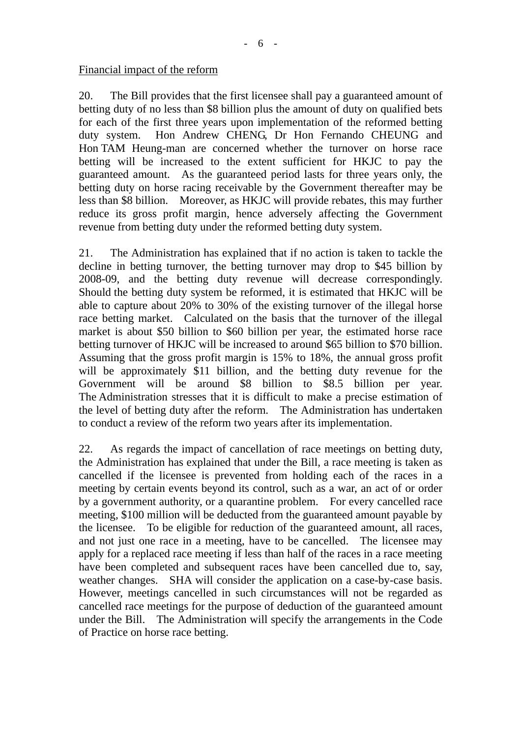#### Financial impact of the reform

20. The Bill provides that the first licensee shall pay a guaranteed amount of betting duty of no less than \$8 billion plus the amount of duty on qualified bets for each of the first three years upon implementation of the reformed betting duty system. Hon Andrew CHENG, Dr Hon Fernando CHEUNG and Hon TAM Heung-man are concerned whether the turnover on horse race betting will be increased to the extent sufficient for HKJC to pay the guaranteed amount. As the guaranteed period lasts for three years only, the betting duty on horse racing receivable by the Government thereafter may be less than \$8 billion. Moreover, as HKJC will provide rebates, this may further reduce its gross profit margin, hence adversely affecting the Government revenue from betting duty under the reformed betting duty system.

21. The Administration has explained that if no action is taken to tackle the decline in betting turnover, the betting turnover may drop to \$45 billion by 2008-09, and the betting duty revenue will decrease correspondingly. Should the betting duty system be reformed, it is estimated that HKJC will be able to capture about 20% to 30% of the existing turnover of the illegal horse race betting market. Calculated on the basis that the turnover of the illegal market is about \$50 billion to \$60 billion per year, the estimated horse race betting turnover of HKJC will be increased to around \$65 billion to \$70 billion. Assuming that the gross profit margin is 15% to 18%, the annual gross profit will be approximately \$11 billion, and the betting duty revenue for the Government will be around \$8 billion to \$8.5 billion per year. The Administration stresses that it is difficult to make a precise estimation of the level of betting duty after the reform. The Administration has undertaken to conduct a review of the reform two years after its implementation.

22. As regards the impact of cancellation of race meetings on betting duty, the Administration has explained that under the Bill, a race meeting is taken as cancelled if the licensee is prevented from holding each of the races in a meeting by certain events beyond its control, such as a war, an act of or order by a government authority, or a quarantine problem. For every cancelled race meeting, \$100 million will be deducted from the guaranteed amount payable by the licensee. To be eligible for reduction of the guaranteed amount, all races, and not just one race in a meeting, have to be cancelled. The licensee may apply for a replaced race meeting if less than half of the races in a race meeting have been completed and subsequent races have been cancelled due to, say, weather changes. SHA will consider the application on a case-by-case basis. However, meetings cancelled in such circumstances will not be regarded as cancelled race meetings for the purpose of deduction of the guaranteed amount under the Bill. The Administration will specify the arrangements in the Code of Practice on horse race betting.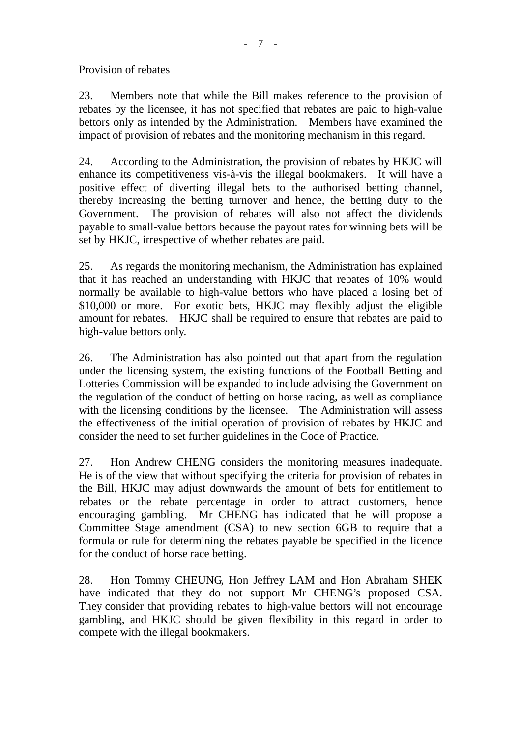#### Provision of rebates

23. Members note that while the Bill makes reference to the provision of rebates by the licensee, it has not specified that rebates are paid to high-value bettors only as intended by the Administration. Members have examined the impact of provision of rebates and the monitoring mechanism in this regard.

24. According to the Administration, the provision of rebates by HKJC will enhance its competitiveness vis-à-vis the illegal bookmakers. It will have a positive effect of diverting illegal bets to the authorised betting channel, thereby increasing the betting turnover and hence, the betting duty to the Government. The provision of rebates will also not affect the dividends payable to small-value bettors because the payout rates for winning bets will be set by HKJC, irrespective of whether rebates are paid.

25. As regards the monitoring mechanism, the Administration has explained that it has reached an understanding with HKJC that rebates of 10% would normally be available to high-value bettors who have placed a losing bet of \$10,000 or more. For exotic bets, HKJC may flexibly adjust the eligible amount for rebates. HKJC shall be required to ensure that rebates are paid to high-value bettors only.

26. The Administration has also pointed out that apart from the regulation under the licensing system, the existing functions of the Football Betting and Lotteries Commission will be expanded to include advising the Government on the regulation of the conduct of betting on horse racing, as well as compliance with the licensing conditions by the licensee. The Administration will assess the effectiveness of the initial operation of provision of rebates by HKJC and consider the need to set further guidelines in the Code of Practice.

27. Hon Andrew CHENG considers the monitoring measures inadequate. He is of the view that without specifying the criteria for provision of rebates in the Bill, HKJC may adjust downwards the amount of bets for entitlement to rebates or the rebate percentage in order to attract customers, hence encouraging gambling. Mr CHENG has indicated that he will propose a Committee Stage amendment (CSA) to new section 6GB to require that a formula or rule for determining the rebates payable be specified in the licence for the conduct of horse race betting.

28. Hon Tommy CHEUNG, Hon Jeffrey LAM and Hon Abraham SHEK have indicated that they do not support Mr CHENG's proposed CSA. They consider that providing rebates to high-value bettors will not encourage gambling, and HKJC should be given flexibility in this regard in order to compete with the illegal bookmakers.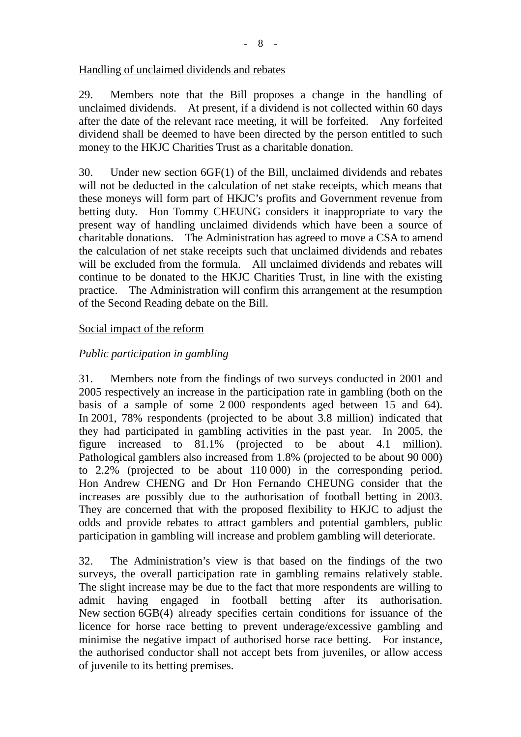### Handling of unclaimed dividends and rebates

29. Members note that the Bill proposes a change in the handling of unclaimed dividends. At present, if a dividend is not collected within 60 days after the date of the relevant race meeting, it will be forfeited. Any forfeited dividend shall be deemed to have been directed by the person entitled to such money to the HKJC Charities Trust as a charitable donation.

30. Under new section 6GF(1) of the Bill, unclaimed dividends and rebates will not be deducted in the calculation of net stake receipts, which means that these moneys will form part of HKJC's profits and Government revenue from betting duty. Hon Tommy CHEUNG considers it inappropriate to vary the present way of handling unclaimed dividends which have been a source of charitable donations. The Administration has agreed to move a CSA to amend the calculation of net stake receipts such that unclaimed dividends and rebates will be excluded from the formula. All unclaimed dividends and rebates will continue to be donated to the HKJC Charities Trust, in line with the existing practice. The Administration will confirm this arrangement at the resumption of the Second Reading debate on the Bill.

### Social impact of the reform

# *Public participation in gambling*

31. Members note from the findings of two surveys conducted in 2001 and 2005 respectively an increase in the participation rate in gambling (both on the basis of a sample of some 2 000 respondents aged between 15 and 64). In 2001, 78% respondents (projected to be about 3.8 million) indicated that they had participated in gambling activities in the past year. In 2005, the figure increased to 81.1% (projected to be about 4.1 million). Pathological gamblers also increased from 1.8% (projected to be about 90 000) to 2.2% (projected to be about 110 000) in the corresponding period. Hon Andrew CHENG and Dr Hon Fernando CHEUNG consider that the increases are possibly due to the authorisation of football betting in 2003. They are concerned that with the proposed flexibility to HKJC to adjust the odds and provide rebates to attract gamblers and potential gamblers, public participation in gambling will increase and problem gambling will deteriorate.

32. The Administration's view is that based on the findings of the two surveys, the overall participation rate in gambling remains relatively stable. The slight increase may be due to the fact that more respondents are willing to admit having engaged in football betting after its authorisation. New section 6GB(4) already specifies certain conditions for issuance of the licence for horse race betting to prevent underage/excessive gambling and minimise the negative impact of authorised horse race betting. For instance, the authorised conductor shall not accept bets from juveniles, or allow access of juvenile to its betting premises.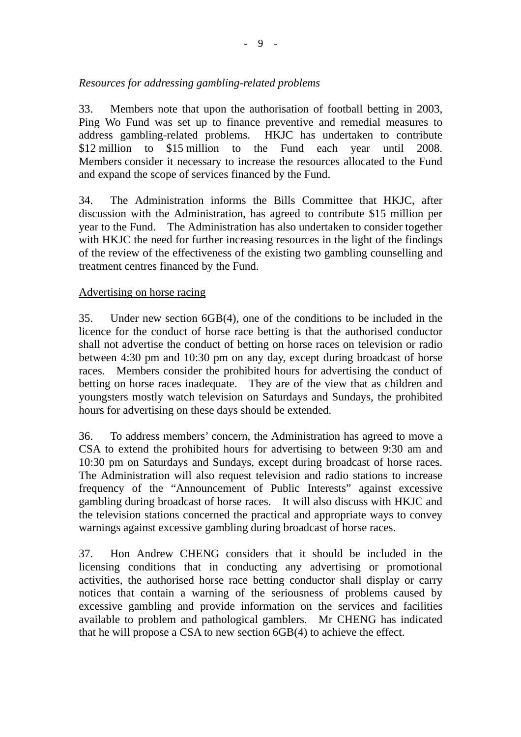# *Resources for addressing gambling-related problems*

33. Members note that upon the authorisation of football betting in 2003, Ping Wo Fund was set up to finance preventive and remedial measures to address gambling-related problems. HKJC has undertaken to contribute \$12 million to \$15 million to the Fund each year until 2008. Members consider it necessary to increase the resources allocated to the Fund and expand the scope of services financed by the Fund.

34. The Administration informs the Bills Committee that HKJC, after discussion with the Administration, has agreed to contribute \$15 million per year to the Fund. The Administration has also undertaken to consider together with HKJC the need for further increasing resources in the light of the findings of the review of the effectiveness of the existing two gambling counselling and treatment centres financed by the Fund.

### Advertising on horse racing

35. Under new section 6GB(4), one of the conditions to be included in the licence for the conduct of horse race betting is that the authorised conductor shall not advertise the conduct of betting on horse races on television or radio between 4:30 pm and 10:30 pm on any day, except during broadcast of horse races. Members consider the prohibited hours for advertising the conduct of betting on horse races inadequate. They are of the view that as children and youngsters mostly watch television on Saturdays and Sundays, the prohibited hours for advertising on these days should be extended.

36. To address members' concern, the Administration has agreed to move a CSA to extend the prohibited hours for advertising to between 9:30 am and 10:30 pm on Saturdays and Sundays, except during broadcast of horse races. The Administration will also request television and radio stations to increase frequency of the "Announcement of Public Interests" against excessive gambling during broadcast of horse races. It will also discuss with HKJC and the television stations concerned the practical and appropriate ways to convey warnings against excessive gambling during broadcast of horse races.

37. Hon Andrew CHENG considers that it should be included in the licensing conditions that in conducting any advertising or promotional activities, the authorised horse race betting conductor shall display or carry notices that contain a warning of the seriousness of problems caused by excessive gambling and provide information on the services and facilities available to problem and pathological gamblers. Mr CHENG has indicated that he will propose a CSA to new section 6GB(4) to achieve the effect.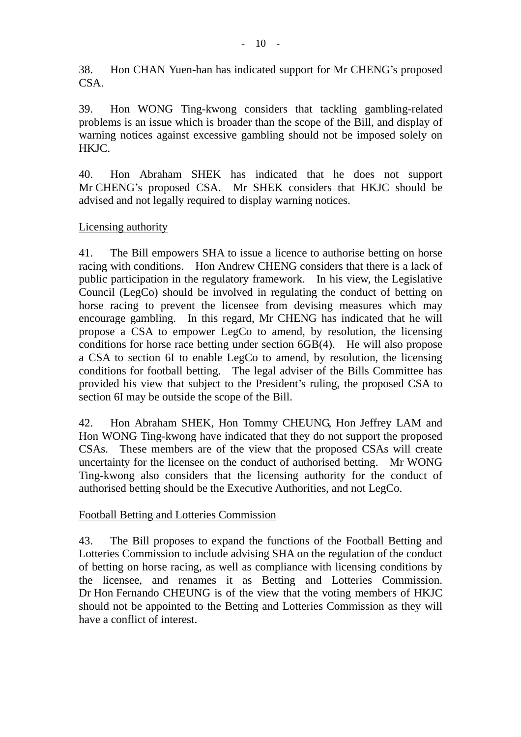38. Hon CHAN Yuen-han has indicated support for Mr CHENG's proposed CSA.

39. Hon WONG Ting-kwong considers that tackling gambling-related problems is an issue which is broader than the scope of the Bill, and display of warning notices against excessive gambling should not be imposed solely on HKJC.

40. Hon Abraham SHEK has indicated that he does not support Mr CHENG's proposed CSA. Mr SHEK considers that HKJC should be advised and not legally required to display warning notices.

#### Licensing authority

41. The Bill empowers SHA to issue a licence to authorise betting on horse racing with conditions. Hon Andrew CHENG considers that there is a lack of public participation in the regulatory framework. In his view, the Legislative Council (LegCo) should be involved in regulating the conduct of betting on horse racing to prevent the licensee from devising measures which may encourage gambling. In this regard, Mr CHENG has indicated that he will propose a CSA to empower LegCo to amend, by resolution, the licensing conditions for horse race betting under section 6GB(4). He will also propose a CSA to section 6I to enable LegCo to amend, by resolution, the licensing conditions for football betting. The legal adviser of the Bills Committee has provided his view that subject to the President's ruling, the proposed CSA to section 6I may be outside the scope of the Bill.

42. Hon Abraham SHEK, Hon Tommy CHEUNG, Hon Jeffrey LAM and Hon WONG Ting-kwong have indicated that they do not support the proposed CSAs. These members are of the view that the proposed CSAs will create uncertainty for the licensee on the conduct of authorised betting. Mr WONG Ting-kwong also considers that the licensing authority for the conduct of authorised betting should be the Executive Authorities, and not LegCo.

### Football Betting and Lotteries Commission

43. The Bill proposes to expand the functions of the Football Betting and Lotteries Commission to include advising SHA on the regulation of the conduct of betting on horse racing, as well as compliance with licensing conditions by the licensee, and renames it as Betting and Lotteries Commission. Dr Hon Fernando CHEUNG is of the view that the voting members of HKJC should not be appointed to the Betting and Lotteries Commission as they will have a conflict of interest.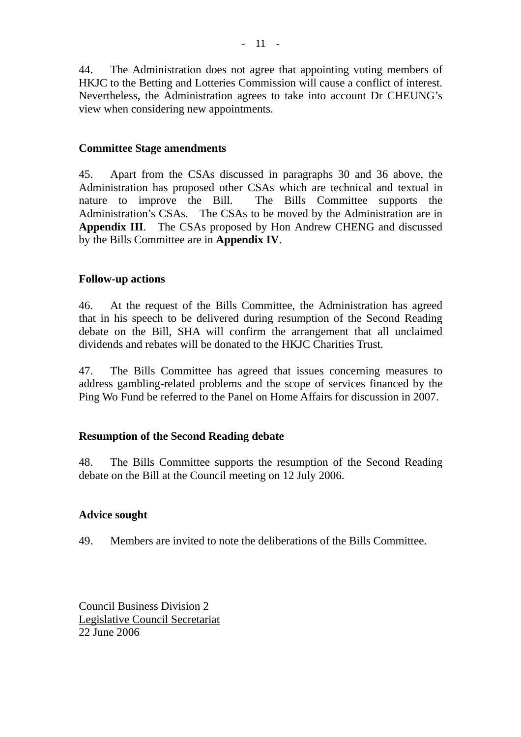44. The Administration does not agree that appointing voting members of HKJC to the Betting and Lotteries Commission will cause a conflict of interest. Nevertheless, the Administration agrees to take into account Dr CHEUNG's view when considering new appointments.

#### **Committee Stage amendments**

45. Apart from the CSAs discussed in paragraphs 30 and 36 above, the Administration has proposed other CSAs which are technical and textual in nature to improve the Bill. The Bills Committee supports the Administration's CSAs. The CSAs to be moved by the Administration are in **Appendix III**. The CSAs proposed by Hon Andrew CHENG and discussed by the Bills Committee are in **Appendix IV**.

#### **Follow-up actions**

46. At the request of the Bills Committee, the Administration has agreed that in his speech to be delivered during resumption of the Second Reading debate on the Bill, SHA will confirm the arrangement that all unclaimed dividends and rebates will be donated to the HKJC Charities Trust.

47. The Bills Committee has agreed that issues concerning measures to address gambling-related problems and the scope of services financed by the Ping Wo Fund be referred to the Panel on Home Affairs for discussion in 2007.

#### **Resumption of the Second Reading debate**

48. The Bills Committee supports the resumption of the Second Reading debate on the Bill at the Council meeting on 12 July 2006.

#### **Advice sought**

49. Members are invited to note the deliberations of the Bills Committee.

Council Business Division 2 Legislative Council Secretariat 22 June 2006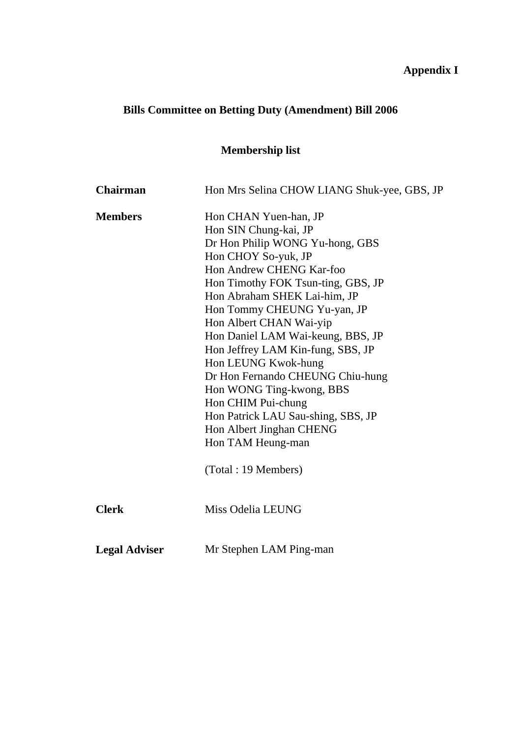# **Appendix I**

# **Bills Committee on Betting Duty (Amendment) Bill 2006**

# **Membership list**

| <b>Chairman</b>      | Hon Mrs Selina CHOW LIANG Shuk-yee, GBS, JP |
|----------------------|---------------------------------------------|
| <b>Members</b>       | Hon CHAN Yuen-han, JP                       |
|                      | Hon SIN Chung-kai, JP                       |
|                      | Dr Hon Philip WONG Yu-hong, GBS             |
|                      | Hon CHOY So-yuk, JP                         |
|                      | Hon Andrew CHENG Kar-foo                    |
|                      | Hon Timothy FOK Tsun-ting, GBS, JP          |
|                      | Hon Abraham SHEK Lai-him, JP                |
|                      | Hon Tommy CHEUNG Yu-yan, JP                 |
|                      | Hon Albert CHAN Wai-yip                     |
|                      | Hon Daniel LAM Wai-keung, BBS, JP           |
|                      | Hon Jeffrey LAM Kin-fung, SBS, JP           |
|                      | Hon LEUNG Kwok-hung                         |
|                      | Dr Hon Fernando CHEUNG Chiu-hung            |
|                      | Hon WONG Ting-kwong, BBS                    |
|                      | Hon CHIM Pui-chung                          |
|                      | Hon Patrick LAU Sau-shing, SBS, JP          |
|                      | Hon Albert Jinghan CHENG                    |
|                      | Hon TAM Heung-man                           |
|                      | (Total: 19 Members)                         |
| <b>Clerk</b>         | Miss Odelia LEUNG                           |
| <b>Legal Adviser</b> | Mr Stephen LAM Ping-man                     |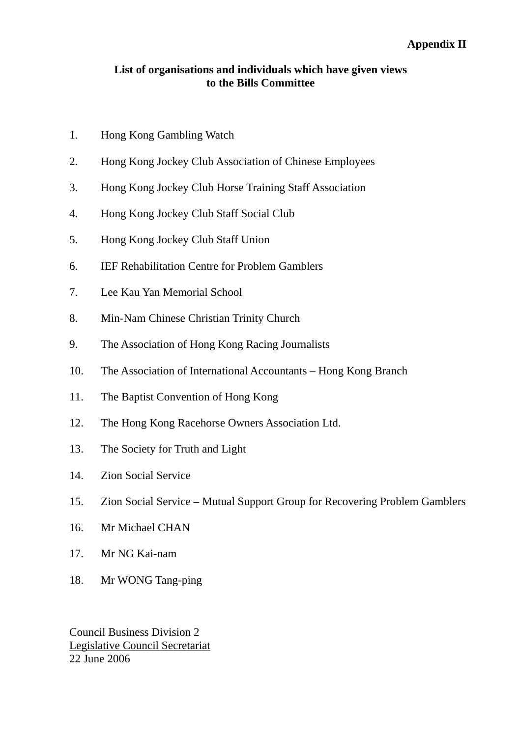## **Appendix II**

#### **List of organisations and individuals which have given views to the Bills Committee**

- 1. Hong Kong Gambling Watch
- 2. Hong Kong Jockey Club Association of Chinese Employees
- 3. Hong Kong Jockey Club Horse Training Staff Association
- 4. Hong Kong Jockey Club Staff Social Club
- 5. Hong Kong Jockey Club Staff Union
- 6. IEF Rehabilitation Centre for Problem Gamblers
- 7. Lee Kau Yan Memorial School
- 8. Min-Nam Chinese Christian Trinity Church
- 9. The Association of Hong Kong Racing Journalists
- 10. The Association of International Accountants Hong Kong Branch
- 11. The Baptist Convention of Hong Kong
- 12. The Hong Kong Racehorse Owners Association Ltd.
- 13. The Society for Truth and Light
- 14. Zion Social Service
- 15. Zion Social Service Mutual Support Group for Recovering Problem Gamblers
- 16. Mr Michael CHAN
- 17. Mr NG Kai-nam
- 18. Mr WONG Tang-ping

Council Business Division 2 Legislative Council Secretariat 22 June 2006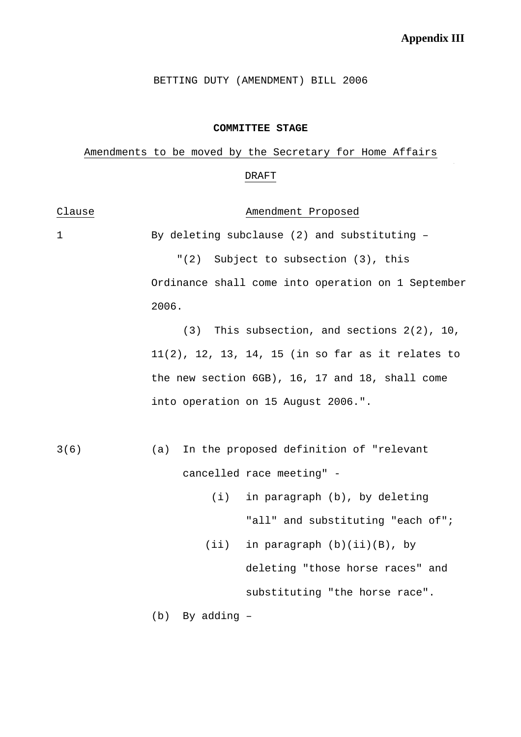$\mathcal{L}_{\mathcal{A}}$ 

BETTING DUTY (AMENDMENT) BILL 2006

#### **COMMITTEE STAGE**

# Amendments to be moved by the Secretary for Home Affairs DRAFT

| Clause      | Amendment Proposed                                   |
|-------------|------------------------------------------------------|
| $\mathbf 1$ | By deleting subclause (2) and substituting -         |
|             | "(2) Subject to subsection (3), this                 |
|             | Ordinance shall come into operation on 1 September   |
|             | 2006.                                                |
|             | $(3)$ This subsection, and sections $2(2)$ , 10,     |
|             | $11(2)$ , 12, 13, 14, 15 (in so far as it relates to |
|             | the new section 6GB), 16, 17 and 18, shall come      |
|             | into operation on 15 August 2006.".                  |
|             |                                                      |
| 3(6)        | In the proposed definition of "relevant<br>(a)       |
|             | cancelled race meeting" -                            |
|             | in paragraph (b), by deleting<br>(i)                 |
|             | "all" and substituting "each of";                    |
|             | $(i$ i)<br>in paragraph $(b)(ii)(B)$ , by            |
|             | deleting "those horse races" and                     |
|             | substituting "the horse race".                       |
|             | By adding -<br>(b)                                   |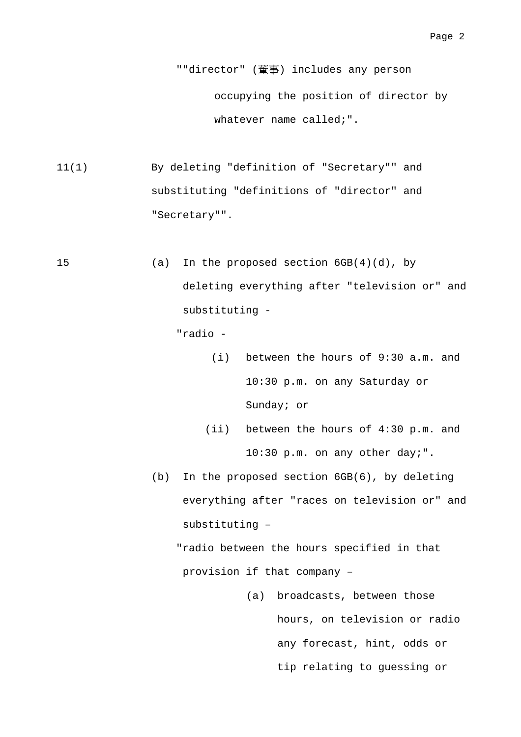""director" (董事) includes any person occupying the position of director by whatever name called;".

- 11(1) By deleting "definition of "Secretary"" and substituting "definitions of "director" and "Secretary"".
- 15 (a) In the proposed section 6GB(4)(d), by deleting everything after "television or" and substituting -

"radio -

- (i) between the hours of 9:30 a.m. and 10:30 p.m. on any Saturday or Sunday; or
- (ii) between the hours of 4:30 p.m. and 10:30 p.m. on any other day;".
- (b) In the proposed section 6GB(6), by deleting everything after "races on television or" and substituting –

"radio between the hours specified in that provision if that company –

> (a) broadcasts, between those hours, on television or radio any forecast, hint, odds or tip relating to guessing or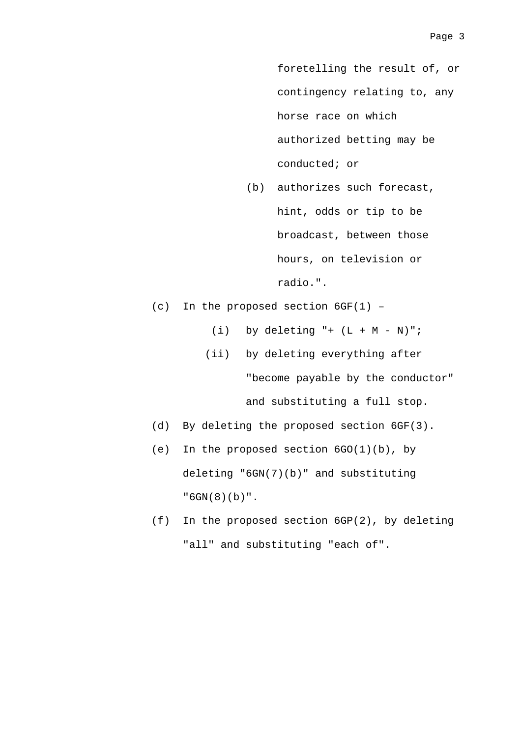foretelling the result of, or contingency relating to, any horse race on which authorized betting may be conducted; or

- (b) authorizes such forecast, hint, odds or tip to be broadcast, between those hours, on television or radio.".
- (c) In the proposed section 6GF(1)
	- (i) by deleting  $" + (L + M N)"$ ;
	- (ii) by deleting everything after

"become payable by the conductor"

and substituting a full stop.

- (d) By deleting the proposed section 6GF(3).
- (e) In the proposed section 6GO(1)(b), by deleting "6GN(7)(b)" and substituting "6GN(8)(b)".
- (f) In the proposed section 6GP(2), by deleting "all" and substituting "each of".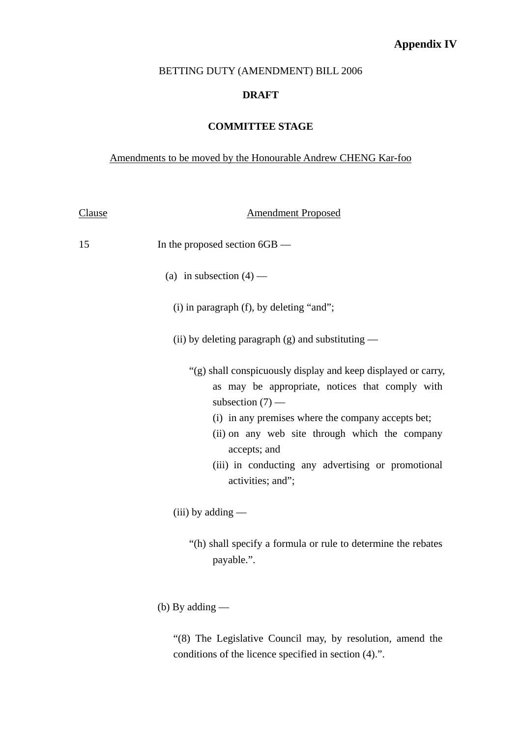# **Appendix IV**

#### BETTING DUTY (AMENDMENT) BILL 2006

#### **DRAFT**

#### **COMMITTEE STAGE**

## Amendments to be moved by the Honourable Andrew CHENG Kar-foo

| <u>Clause</u> | <b>Amendment Proposed</b>                                                                                                                                                                                                                                                                                                                 |
|---------------|-------------------------------------------------------------------------------------------------------------------------------------------------------------------------------------------------------------------------------------------------------------------------------------------------------------------------------------------|
| 15            | In the proposed section 6GB —                                                                                                                                                                                                                                                                                                             |
|               | (a) in subsection $(4)$ —                                                                                                                                                                                                                                                                                                                 |
|               | (i) in paragraph (f), by deleting "and";                                                                                                                                                                                                                                                                                                  |
|               | (ii) by deleting paragraph $(g)$ and substituting —                                                                                                                                                                                                                                                                                       |
|               | "(g) shall conspicuously display and keep displayed or carry,<br>as may be appropriate, notices that comply with<br>subsection $(7)$ —<br>(i) in any premises where the company accepts bet;<br>(ii) on any web site through which the company<br>accepts; and<br>(iii) in conducting any advertising or promotional<br>activities; and"; |
|               | $(iii)$ by adding —                                                                                                                                                                                                                                                                                                                       |
|               | "(h) shall specify a formula or rule to determine the rebates<br>payable.".                                                                                                                                                                                                                                                               |
|               | (b) By adding $-$                                                                                                                                                                                                                                                                                                                         |

"(8) The Legislative Council may, by resolution, amend the conditions of the licence specified in section (4).".